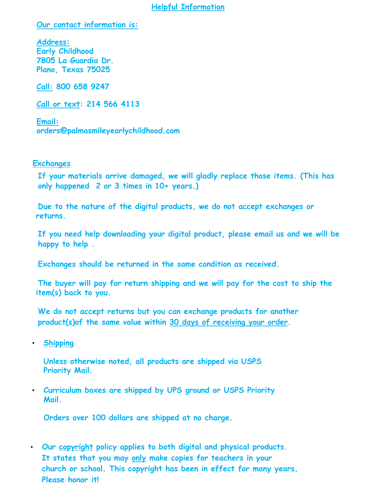#### **Helpful Information**

**Our contact information is:** 

**Address: Early Childhood 7805 La Guardia Dr. Plano, Texas 75025**

**Call: 800 658 9247**

**Call or text: 214 5[66 4113](mailto:orders@palmasmileyearlychildhood.com)**

**Email: orders@palmasmileyearlychildhood.com** 

# **. Exchanges**

**If your materials arrive damaged, we will gladly replace those items. (This has only happened 2 or 3 times in 10+ years.)**

**Due to the nature of the digital products, we do not accept exchanges or returns.**

**If you need help downloading your digital product, please email us and we will be happy to help .** 

**Exchanges should be returned in the same condition as received.** 

**The buyer will pay for return shipping and we will pay for the cost to ship the item(s) back to you.**

**We do not accept returns but you can exchange products for another product(s)of the same value within 30 days of receiving your order.**

• **Shipping**

**Unless otherwise noted, all products are shipped via USPS Priority Mail.**

• **Curriculum boxes are shipped by UPS ground or USPS Priority Mail.**

**Orders over 100 dollars are shipped at no charge.**

• **Our copyright policy applies to both digital and physical products. It states that you may only make copies for teachers in your church or school. This copyright has been in effect for many years, Please honor it!**